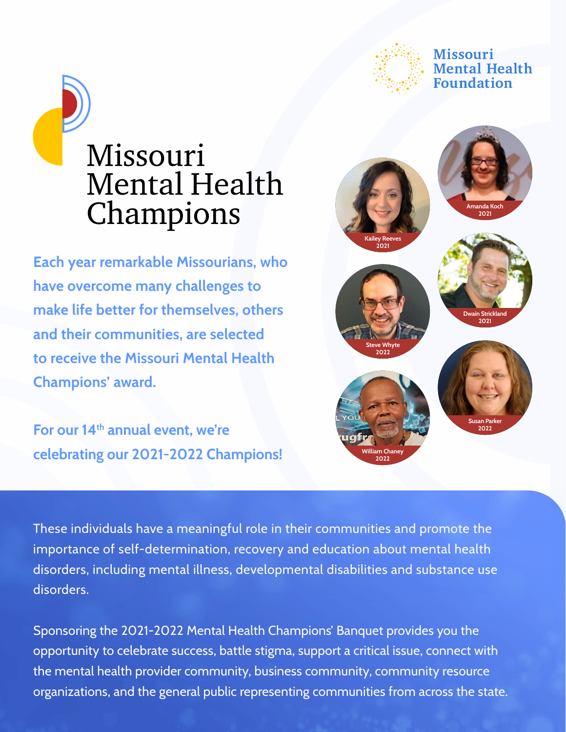

#### **Missouri** Mental Health **Foundation**



**Each year remarkable Missourians, who have overcome many challenges to make life better for themselves, others and their communities, are selected to receive the Missouri Mental Health Champions' award.** 

For our 14<sup>th</sup> annual event, we're **celebrating our 2021-2022 Champions!**



These individuals have a meaningful role in their communities and promote the importance of self-determination, recovery and education about mental health disorders, including mental illness, developmental disabilities and substance use disorders.

Sponsoring the 2021-2022 Mental Health Champions' Banquet provides you the opportunity to celebrate success, battle stigma, support a critical issue, connect with the mental health provider community, business community, community resource organizations, and the general public representing communities from across the state.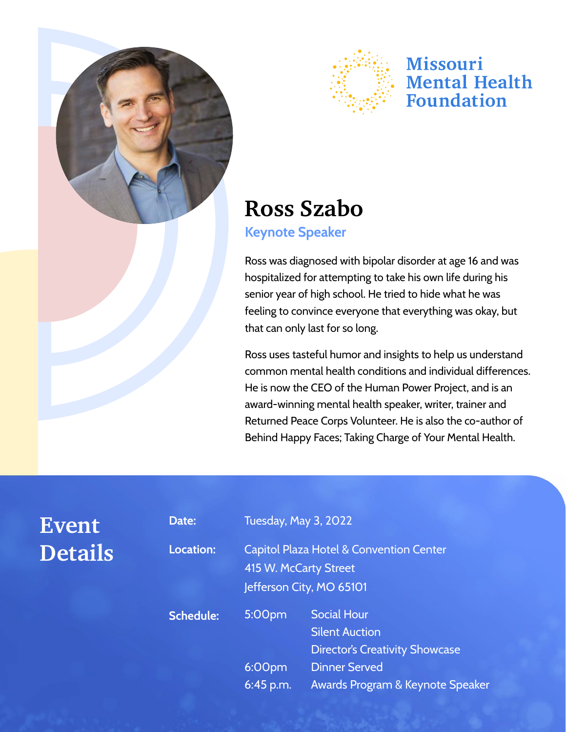

**Event** 

**Details**



### Missouri **Mental Health Foundation**

# **Ross Szabo**

#### **Keynote Speaker**

Ross was diagnosed with bipolar disorder at age 16 and was hospitalized for attempting to take his own life during his senior year of high school. He tried to hide what he was feeling to convince everyone that everything was okay, but that can only last for so long.

Ross uses tasteful humor and insights to help us understand common mental health conditions and individual differences. He is now the CEO of the Human Power Project, and is an award-winning mental health speaker, writer, trainer and Returned Peace Corps Volunteer. He is also the co-author of Behind Happy Faces; Taking Charge of Your Mental Health.

| Date:            | <b>Tuesday, May 3, 2022</b>                                                                             |                                                                                      |
|------------------|---------------------------------------------------------------------------------------------------------|--------------------------------------------------------------------------------------|
| Location:        | <b>Capitol Plaza Hotel &amp; Convention Center</b><br>415 W. McCarty Street<br>Jefferson City, MO 65101 |                                                                                      |
| <b>Schedule:</b> | 5:00pm                                                                                                  | <b>Social Hour</b><br><b>Silent Auction</b><br><b>Director's Creativity Showcase</b> |
|                  | 6:00pm<br>$6:45$ p.m.                                                                                   | <b>Dinner Served</b><br>Awards Program & Keynote Speaker                             |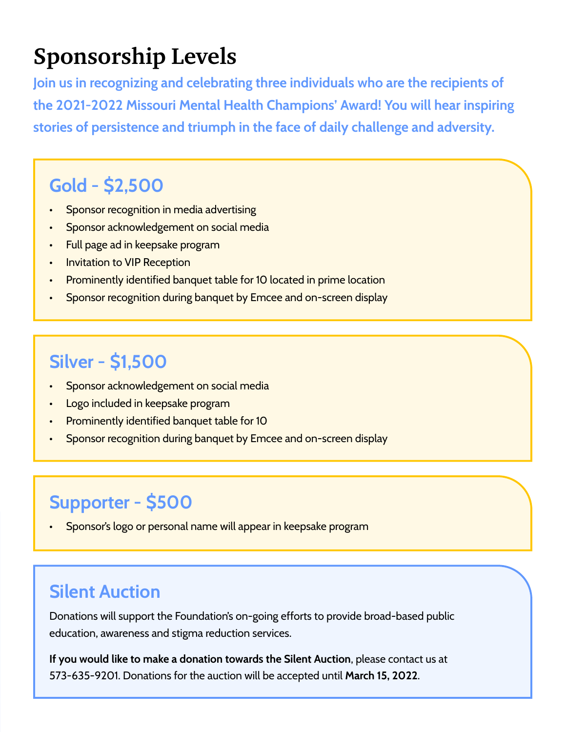# **Sponsorship Levels**

**Join us in recognizing and celebrating three individuals who are the recipients of the 2021-2022 Missouri Mental Health Champions' Award! You will hear inspiring stories of persistence and triumph in the face of daily challenge and adversity.**

## **Gold - \$2,500**

- Sponsor recognition in media advertising
- Sponsor acknowledgement on social media
- Full page ad in keepsake program
- **Invitation to VIP Reception**
- Prominently identified banquet table for 10 located in prime location
- Sponsor recognition during banquet by Emcee and on-screen display

### **Silver - \$1,500**

- Sponsor acknowledgement on social media
- Logo included in keepsake program
- Prominently identified banquet table for 10
- Sponsor recognition during banquet by Emcee and on-screen display

## **Supporter - \$500**

• Sponsor's logo or personal name will appear in keepsake program

### **Silent Auction**

Donations will support the Foundation's on-going efforts to provide broad-based public education, awareness and stigma reduction services.

**If you would like to make a donation towards the Silent Auction**, please contact us at 573-635-9201. Donations for the auction will be accepted until **March 15, 2022**.